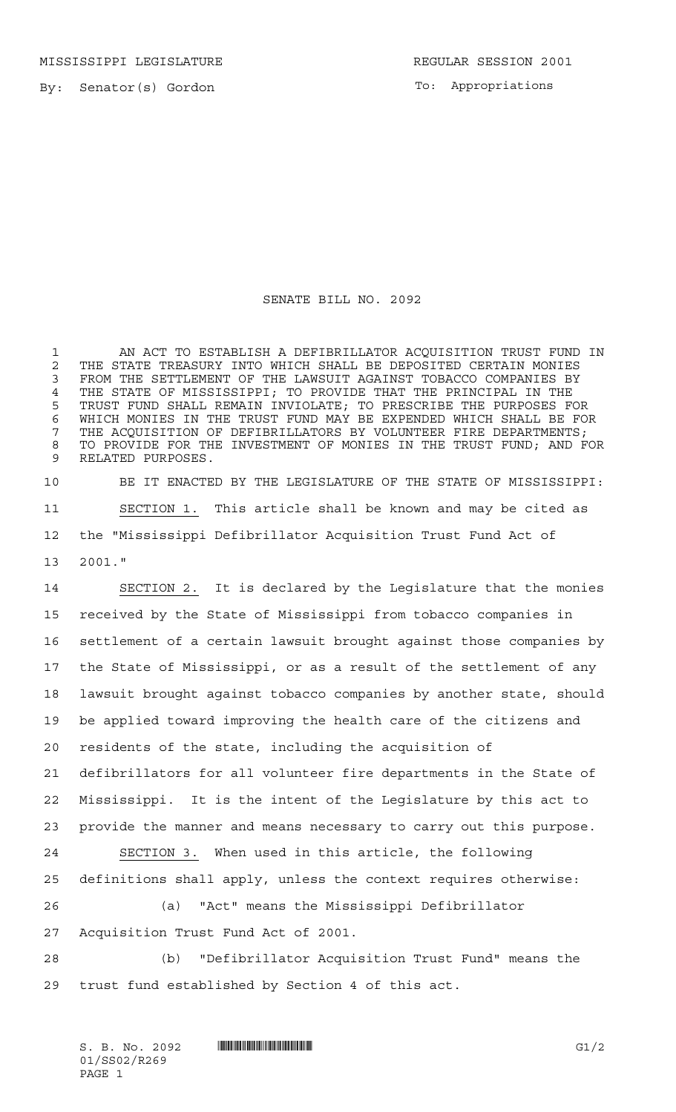MISSISSIPPI LEGISLATURE **REGULAR SESSION 2001** 

By: Senator(s) Gordon

To: Appropriations

## SENATE BILL NO. 2092

 AN ACT TO ESTABLISH A DEFIBRILLATOR ACQUISITION TRUST FUND IN 2 THE STATE TREASURY INTO WHICH SHALL BE DEPOSITED CERTAIN MONIES<br>3 FROM THE SETTLEMENT OF THE LAWSUIT AGAINST TOBACCO COMPANIES BY FROM THE SETTLEMENT OF THE LAWSUIT AGAINST TOBACCO COMPANIES BY 4 THE STATE OF MISSISSIPPI; TO PROVIDE THAT THE PRINCIPAL IN THE<br>5 TRUST FUND SHALL REMAIN INVIOLATE; TO PRESCRIBE THE PURPOSES F( TRUST FUND SHALL REMAIN INVIOLATE; TO PRESCRIBE THE PURPOSES FOR WHICH MONIES IN THE TRUST FUND MAY BE EXPENDED WHICH SHALL BE FOR 7 THE ACQUISITION OF DEFIBRILLATORS BY VOLUNTEER FIRE DEPARTMENTS; TO PROVIDE FOR THE INVESTMENT OF MONIES IN THE TRUST FUND; AND FOR RELATED PURPOSES.

 BE IT ENACTED BY THE LEGISLATURE OF THE STATE OF MISSISSIPPI: SECTION 1. This article shall be known and may be cited as the "Mississippi Defibrillator Acquisition Trust Fund Act of 2001."

 SECTION 2. It is declared by the Legislature that the monies received by the State of Mississippi from tobacco companies in settlement of a certain lawsuit brought against those companies by the State of Mississippi, or as a result of the settlement of any lawsuit brought against tobacco companies by another state, should be applied toward improving the health care of the citizens and residents of the state, including the acquisition of defibrillators for all volunteer fire departments in the State of Mississippi. It is the intent of the Legislature by this act to provide the manner and means necessary to carry out this purpose. SECTION 3. When used in this article, the following definitions shall apply, unless the context requires otherwise: (a) "Act" means the Mississippi Defibrillator Acquisition Trust Fund Act of 2001.

 (b) "Defibrillator Acquisition Trust Fund" means the trust fund established by Section 4 of this act.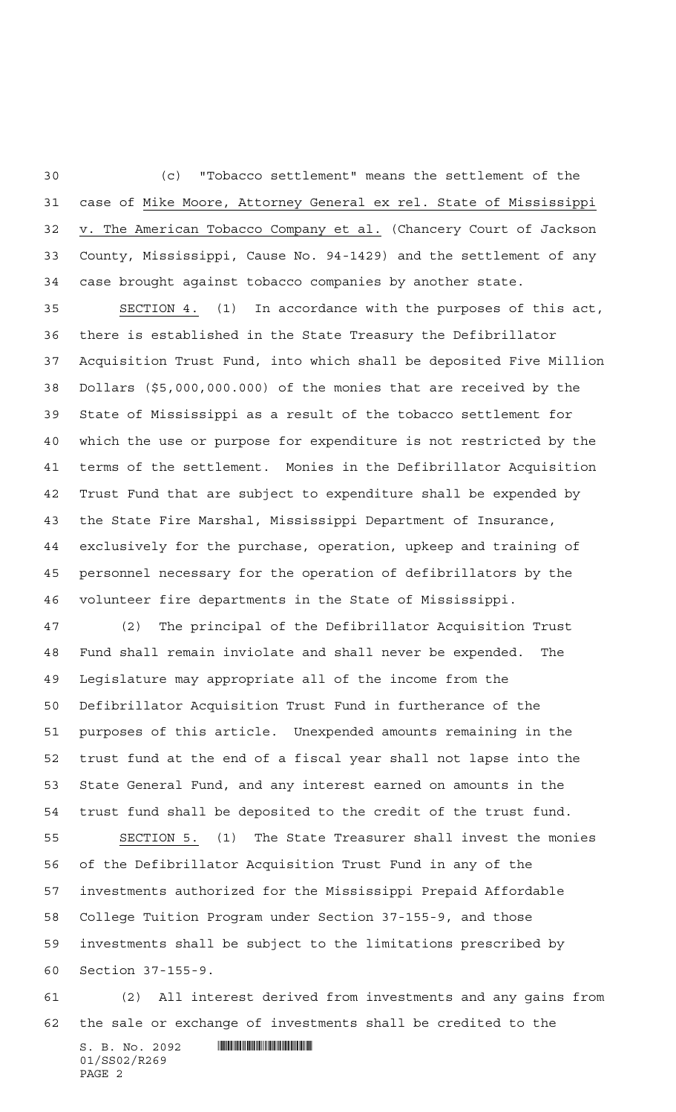(c) "Tobacco settlement" means the settlement of the case of Mike Moore, Attorney General ex rel. State of Mississippi v. The American Tobacco Company et al. (Chancery Court of Jackson County, Mississippi, Cause No. 94-1429) and the settlement of any case brought against tobacco companies by another state.

 SECTION 4. (1) In accordance with the purposes of this act, there is established in the State Treasury the Defibrillator Acquisition Trust Fund, into which shall be deposited Five Million Dollars (\$5,000,000.000) of the monies that are received by the State of Mississippi as a result of the tobacco settlement for which the use or purpose for expenditure is not restricted by the terms of the settlement. Monies in the Defibrillator Acquisition Trust Fund that are subject to expenditure shall be expended by the State Fire Marshal, Mississippi Department of Insurance, exclusively for the purchase, operation, upkeep and training of personnel necessary for the operation of defibrillators by the volunteer fire departments in the State of Mississippi.

 (2) The principal of the Defibrillator Acquisition Trust Fund shall remain inviolate and shall never be expended. The Legislature may appropriate all of the income from the Defibrillator Acquisition Trust Fund in furtherance of the purposes of this article. Unexpended amounts remaining in the trust fund at the end of a fiscal year shall not lapse into the State General Fund, and any interest earned on amounts in the trust fund shall be deposited to the credit of the trust fund. SECTION 5. (1) The State Treasurer shall invest the monies of the Defibrillator Acquisition Trust Fund in any of the investments authorized for the Mississippi Prepaid Affordable

 College Tuition Program under Section 37-155-9, and those investments shall be subject to the limitations prescribed by Section 37-155-9.

 (2) All interest derived from investments and any gains from the sale or exchange of investments shall be credited to the

 $S. B. No. 2092$  . The set of the set of  $S. B. N_O.$ 01/SS02/R269 PAGE 2